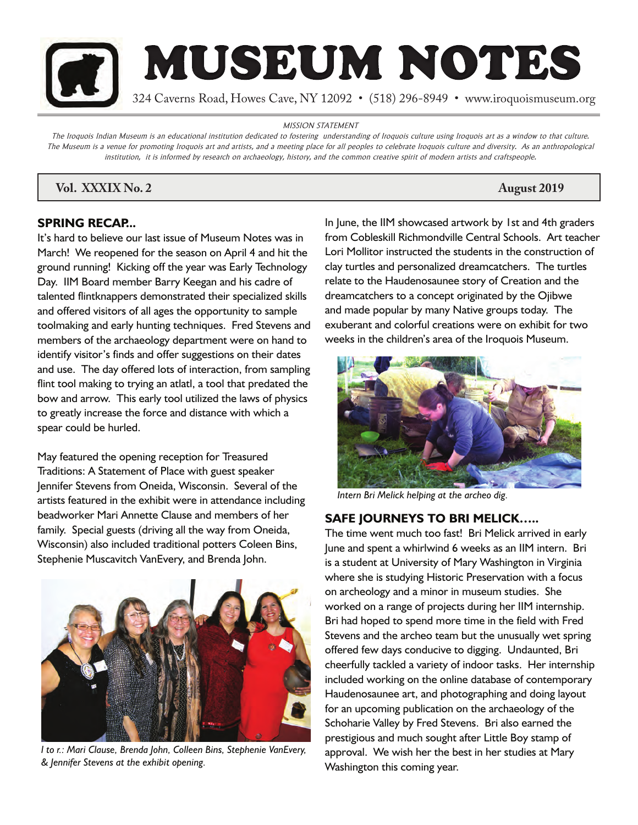

MISSION STATEMENT

The Iroquois Indian Museum is an educational institution dedicated to fostering understanding of Iroquois culture using Iroquois art as a window to that culture. The Museum is a venue for promoting Iroquois art and artists, and a meeting place for all peoples to celebrate Iroquois culture and diversity. As an anthropological institution, it is informed by research on archaeology, history, and the common creative spirit of modern artists and craftspeople.

# *Vol. XXXIX No. 2* August 2019

### **SPRING RECAP...**

It's hard to believe our last issue of Museum Notes was in March! We reopened for the season on April 4 and hit the ground running! Kicking off the year was Early Technology Day. IIM Board member Barry Keegan and his cadre of talented flintknappers demonstrated their specialized skills and offered visitors of all ages the opportunity to sample toolmaking and early hunting techniques. Fred Stevens and members of the archaeology department were on hand to identify visitor's finds and offer suggestions on their dates and use. The day offered lots of interaction, from sampling flint tool making to trying an atlatl, a tool that predated the bow and arrow. This early tool utilized the laws of physics to greatly increase the force and distance with which a spear could be hurled.

May featured the opening reception for Treasured Traditions: A Statement of Place with guest speaker Jennifer Stevens from Oneida, Wisconsin. Several of the artists featured in the exhibit were in attendance including beadworker Mari Annette Clause and members of her family. Special guests (driving all the way from Oneida, Wisconsin) also included traditional potters Coleen Bins, Stephenie Muscavitch VanEvery, and Brenda John.



*l to r.: Mari Clause, Brenda John, Colleen Bins, Stephenie VanEvery, & Jennifer Stevens at the exhibit opening.*

In June, the IIM showcased artwork by 1st and 4th graders from Cobleskill Richmondville Central Schools. Art teacher Lori Mollitor instructed the students in the construction of clay turtles and personalized dreamcatchers. The turtles relate to the Haudenosaunee story of Creation and the dreamcatchers to a concept originated by the Ojibwe and made popular by many Native groups today. The exuberant and colorful creations were on exhibit for two weeks in the children's area of the Iroquois Museum.



*Intern Bri Melick helping at the archeo dig.*

## **SAFE JOURNEYS TO BRI MELICK…..**

The time went much too fast! Bri Melick arrived in early June and spent a whirlwind 6 weeks as an IIM intern. Bri is a student at University of Mary Washington in Virginia where she is studying Historic Preservation with a focus on archeology and a minor in museum studies. She worked on a range of projects during her IIM internship. Bri had hoped to spend more time in the field with Fred Stevens and the archeo team but the unusually wet spring offered few days conducive to digging. Undaunted, Bri cheerfully tackled a variety of indoor tasks. Her internship included working on the online database of contemporary Haudenosaunee art, and photographing and doing layout for an upcoming publication on the archaeology of the Schoharie Valley by Fred Stevens. Bri also earned the prestigious and much sought after Little Boy stamp of approval. We wish her the best in her studies at Mary Washington this coming year.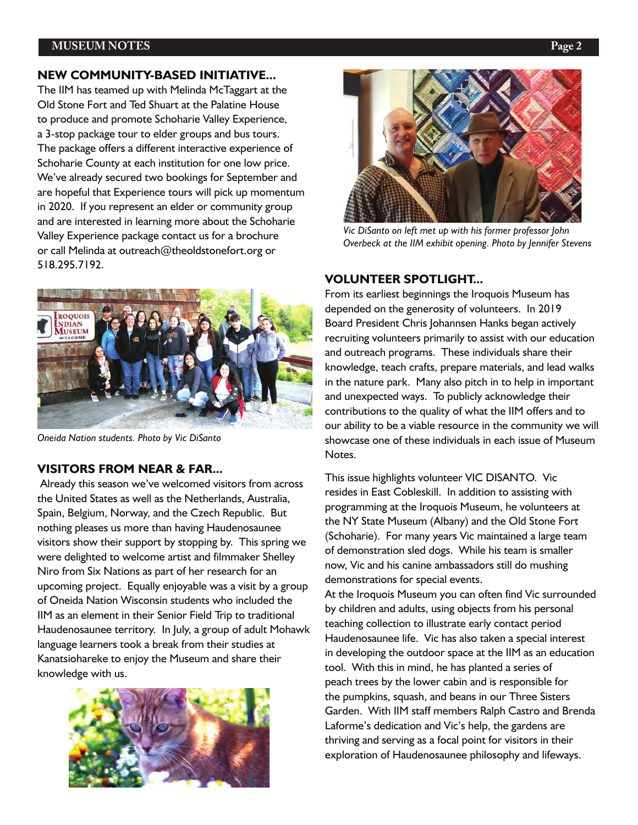#### **MUSEUM NOTES Page 2**

#### **NEW COMMUNITY-BASED INITIATIVE...**

The IIM has teamed up with Melinda McTaggart at the Old Stone Fort and Ted Shuart at the Palatine House to produce and promote Schoharie Valley Experience, a 3-stop package tour to elder groups and bus tours. The package offers a different interactive experience of Schoharie County at each institution for one low price. We've already secured two bookings for September and are hopeful that Experience tours will pick up momentum in 2020. If you represent an elder or community group and are interested in learning more about the Schoharie Valley Experience package contact us for a brochure or call Melinda at outreach@theoldstonefort.org or 518.295.7192.



*Oneida Nation students. Photo by Vic DiSanto*

#### **VISITORS FROM NEAR & FAR...**

 Already this season we've welcomed visitors from across the United States as well as the Netherlands, Australia, Spain, Belgium, Norway, and the Czech Republic. But nothing pleases us more than having Haudenosaunee visitors show their support by stopping by. This spring we were delighted to welcome artist and filmmaker Shelley Niro from Six Nations as part of her research for an upcoming project. Equally enjoyable was a visit by a group of Oneida Nation Wisconsin students who included the IIM as an element in their Senior Field Trip to traditional Haudenosaunee territory. In July, a group of adult Mohawk language learners took a break from their studies at Kanatsiohareke to enjoy the Museum and share their knowledge with us.





*Vic DiSanto on left met up with his former professor John Overbeck at the IIM exhibit opening. Photo by Jennifer Stevens*

#### **VOLUNTEER SPOTLIGHT...**

From its earliest beginnings the Iroquois Museum has depended on the generosity of volunteers. In 2019 Board President Chris Johannsen Hanks began actively recruiting volunteers primarily to assist with our education and outreach programs. These individuals share their knowledge, teach crafts, prepare materials, and lead walks in the nature park. Many also pitch in to help in important and unexpected ways. To publicly acknowledge their contributions to the quality of what the IIM offers and to our ability to be a viable resource in the community we will showcase one of these individuals in each issue of Museum Notes.

This issue highlights volunteer VIC DISANTO. Vic resides in East Cobleskill. In addition to assisting with programming at the Iroquois Museum, he volunteers at the NY State Museum (Albany) and the Old Stone Fort (Schoharie). For many years Vic maintained a large team of demonstration sled dogs. While his team is smaller now, Vic and his canine ambassadors still do mushing demonstrations for special events.

At the Iroquois Museum you can often find Vic surrounded by children and adults, using objects from his personal teaching collection to illustrate early contact period Haudenosaunee life. Vic has also taken a special interest in developing the outdoor space at the IIM as an education tool. With this in mind, he has planted a series of peach trees by the lower cabin and is responsible for the pumpkins, squash, and beans in our Three Sisters Garden. With IIM staff members Ralph Castro and Brenda Laforme's dedication and Vic's help, the gardens are thriving and serving as a focal point for visitors in their exploration of Haudenosaunee philosophy and lifeways.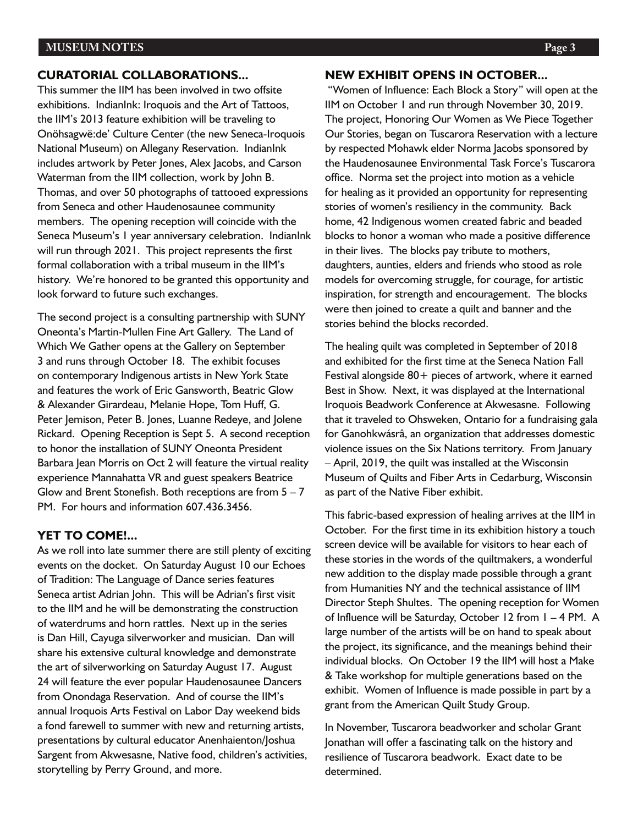#### **CURATORIAL COLLABORATIONS...**

This summer the IIM has been involved in two offsite exhibitions. IndianInk: Iroquois and the Art of Tattoos, the IIM's 2013 feature exhibition will be traveling to Onöhsagwë:de' Culture Center (the new Seneca-Iroquois National Museum) on Allegany Reservation. IndianInk includes artwork by Peter Jones, Alex Jacobs, and Carson Waterman from the IIM collection, work by John B. Thomas, and over 50 photographs of tattooed expressions from Seneca and other Haudenosaunee community members. The opening reception will coincide with the Seneca Museum's 1 year anniversary celebration. IndianInk will run through 2021. This project represents the first formal collaboration with a tribal museum in the IIM's history. We're honored to be granted this opportunity and look forward to future such exchanges.

The second project is a consulting partnership with SUNY Oneonta's Martin-Mullen Fine Art Gallery. The Land of Which We Gather opens at the Gallery on September 3 and runs through October 18. The exhibit focuses on contemporary Indigenous artists in New York State and features the work of Eric Gansworth, Beatric Glow & Alexander Girardeau, Melanie Hope, Tom Huff, G. Peter Jemison, Peter B. Jones, Luanne Redeye, and Jolene Rickard. Opening Reception is Sept 5. A second reception to honor the installation of SUNY Oneonta President Barbara Jean Morris on Oct 2 will feature the virtual reality experience Mannahatta VR and guest speakers Beatrice Glow and Brent Stonefish. Both receptions are from  $5 - 7$ PM. For hours and information 607.436.3456.

#### **YET TO COME!...**

As we roll into late summer there are still plenty of exciting events on the docket. On Saturday August 10 our Echoes of Tradition: The Language of Dance series features Seneca artist Adrian John. This will be Adrian's first visit to the IIM and he will be demonstrating the construction of waterdrums and horn rattles. Next up in the series is Dan Hill, Cayuga silverworker and musician. Dan will share his extensive cultural knowledge and demonstrate the art of silverworking on Saturday August 17. August 24 will feature the ever popular Haudenosaunee Dancers from Onondaga Reservation. And of course the IIM's annual Iroquois Arts Festival on Labor Day weekend bids a fond farewell to summer with new and returning artists, presentations by cultural educator Anenhaienton/Joshua Sargent from Akwesasne, Native food, children's activities, storytelling by Perry Ground, and more.

 "Women of Influence: Each Block a Story" will open at the IIM on October 1 and run through November 30, 2019. The project, Honoring Our Women as We Piece Together Our Stories, began on Tuscarora Reservation with a lecture by respected Mohawk elder Norma Jacobs sponsored by the Haudenosaunee Environmental Task Force's Tuscarora office. Norma set the project into motion as a vehicle for healing as it provided an opportunity for representing stories of women's resiliency in the community. Back home, 42 Indigenous women created fabric and beaded blocks to honor a woman who made a positive difference in their lives. The blocks pay tribute to mothers, daughters, aunties, elders and friends who stood as role models for overcoming struggle, for courage, for artistic inspiration, for strength and encouragement. The blocks were then joined to create a quilt and banner and the stories behind the blocks recorded.

The healing quilt was completed in September of 2018 and exhibited for the first time at the Seneca Nation Fall Festival alongside  $80+$  pieces of artwork, where it earned Best in Show. Next, it was displayed at the International Iroquois Beadwork Conference at Akwesasne. Following that it traveled to Ohsweken, Ontario for a fundraising gala for Ganohkwásrâ, an organization that addresses domestic violence issues on the Six Nations territory. From January – April, 2019, the quilt was installed at the Wisconsin Museum of Quilts and Fiber Arts in Cedarburg, Wisconsin as part of the Native Fiber exhibit.

This fabric-based expression of healing arrives at the IIM in October. For the first time in its exhibition history a touch screen device will be available for visitors to hear each of these stories in the words of the quiltmakers, a wonderful new addition to the display made possible through a grant from Humanities NY and the technical assistance of IIM Director Steph Shultes. The opening reception for Women of Influence will be Saturday, October 12 from 1 – 4 PM. A large number of the artists will be on hand to speak about the project, its significance, and the meanings behind their individual blocks. On October 19 the IIM will host a Make & Take workshop for multiple generations based on the exhibit. Women of Influence is made possible in part by a grant from the American Quilt Study Group.

In November, Tuscarora beadworker and scholar Grant Jonathan will offer a fascinating talk on the history and resilience of Tuscarora beadwork. Exact date to be determined.